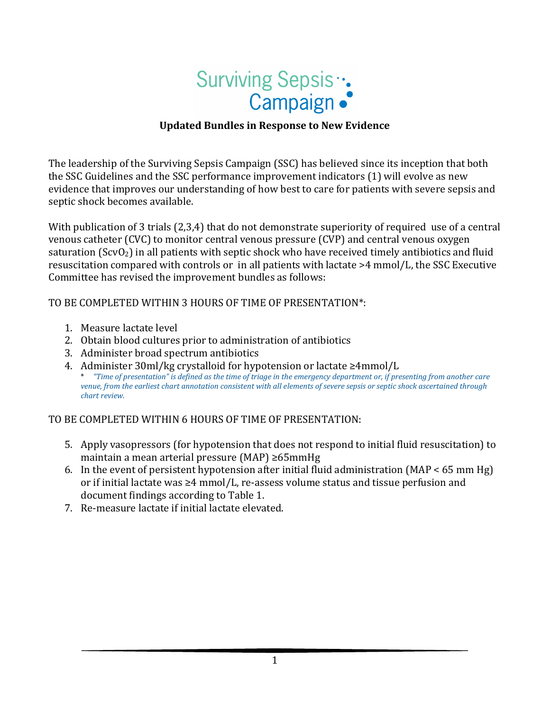

#### **Updated Bundles in Response to New Evidence**

The leadership of the Surviving Sepsis Campaign (SSC) has believed since its inception that both the SSC Guidelines and the SSC performance improvement indicators (1) will evolve as new evidence that improves our understanding of how best to care for patients with severe sepsis and septic shock becomes available.

With publication of 3 trials (2,3,4) that do not demonstrate superiority of required use of a central venous catheter (CVC) to monitor central venous pressure (CVP) and central venous oxygen saturation ( $ScvO<sub>2</sub>$ ) in all patients with septic shock who have received timely antibiotics and fluid resuscitation compared with controls or in all patients with lactate >4 mmol/L, the SSC Executive Committee has revised the improvement bundles as follows:

TO BE COMPLETED WITHIN 3 HOURS OF TIME OF PRESENTATION\*:

- 1. Measure lactate level
- 2. Obtain blood cultures prior to administration of antibiotics
- 3. Administer broad spectrum antibiotics
- 4. Administer 30ml/kg crystalloid for hypotension or lactate ≥4mmol/L \* *"Time of presentation" is defined as the time of triage in the emergency department or, if presenting from another care venue, from the earliest chart annotation consistent with all elements of severe sepsis or septic shock ascertained through chart review.*

TO BE COMPLETED WITHIN 6 HOURS OF TIME OF PRESENTATION:

- 5. Apply vasopressors (for hypotension that does not respond to initial fluid resuscitation) to maintain a mean arterial pressure (MAP) ≥65mmHg
- 6. In the event of persistent hypotension after initial fluid administration (MAP < 65 mm Hg) or if initial lactate was  $\geq 4$  mmol/L, re-assess volume status and tissue perfusion and document findings according to Table 1.
- 7. Re-measure lactate if initial lactate elevated.